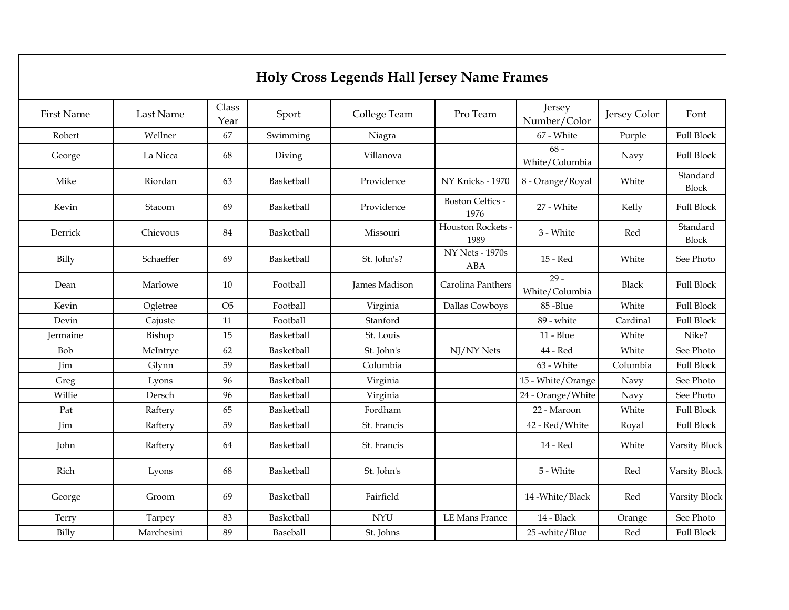## **Holy Cross Legends Hall Jersey Name Frames**

| <b>First Name</b> | Last Name  | Class<br>Year  | Sport      | College Team  | Pro Team                                   | Jersey<br>Number/Color   | Jersey Color | Font                     |
|-------------------|------------|----------------|------------|---------------|--------------------------------------------|--------------------------|--------------|--------------------------|
| Robert            | Wellner    | 67             | Swimming   | Niagra        |                                            | 67 - White               | Purple       | <b>Full Block</b>        |
| George            | La Nicca   | 68             | Diving     | Villanova     |                                            | $68 -$<br>White/Columbia | Navy         | <b>Full Block</b>        |
| Mike              | Riordan    | 63             | Basketball | Providence    | NY Knicks - 1970                           | 8 - Orange/Royal         | White        | Standard<br>Block        |
| Kevin             | Stacom     | 69             | Basketball | Providence    | <b>Boston Celtics -</b><br>1976            | 27 - White               | Kelly        | <b>Full Block</b>        |
| Derrick           | Chievous   | 84             | Basketball | Missouri      | Houston Rockets<br>1989                    | 3 - White                | Red          | Standard<br><b>Block</b> |
| Billy             | Schaeffer  | 69             | Basketball | St. John's?   | $\overline{NY}$ Nets - 1970s<br><b>ABA</b> | 15 - Red                 | White        | See Photo                |
| Dean              | Marlowe    | 10             | Football   | James Madison | Carolina Panthers                          | $29 -$<br>White/Columbia | <b>Black</b> | <b>Full Block</b>        |
| Kevin             | Ogletree   | O <sub>5</sub> | Football   | Virginia      | Dallas Cowboys                             | 85-Blue                  | White        | <b>Full Block</b>        |
| Devin             | Cajuste    | 11             | Football   | Stanford      |                                            | 89 - white               | Cardinal     | <b>Full Block</b>        |
| Jermaine          | Bishop     | 15             | Basketball | St. Louis     |                                            | 11 - Blue                | White        | Nike?                    |
| Bob               | McIntrye   | 62             | Basketball | St. John's    | NJ/NY Nets                                 | 44 - Red                 | White        | See Photo                |
| Jim               | Glynn      | 59             | Basketball | Columbia      |                                            | 63 - White               | Columbia     | <b>Full Block</b>        |
| Greg              | Lyons      | 96             | Basketball | Virginia      |                                            | 15 - White/Orange        | Navy         | See Photo                |
| Willie            | Dersch     | 96             | Basketball | Virginia      |                                            | 24 - Orange/White        | Navy         | See Photo                |
| Pat               | Raftery    | 65             | Basketball | Fordham       |                                            | 22 - Maroon              | White        | <b>Full Block</b>        |
| Jim               | Raftery    | 59             | Basketball | St. Francis   |                                            | 42 - Red/White           | Royal        | <b>Full Block</b>        |
| John              | Raftery    | 64             | Basketball | St. Francis   |                                            | 14 - Red                 | White        | Varsity Block            |
| Rich              | Lyons      | 68             | Basketball | St. John's    |                                            | 5 - White                | Red          | Varsity Block            |
| George            | Groom      | 69             | Basketball | Fairfield     |                                            | 14 - White / Black       | Red          | Varsity Block            |
| Terry             | Tarpey     | 83             | Basketball | <b>NYU</b>    | <b>LE Mans France</b>                      | 14 - Black               | Orange       | See Photo                |
| Billy             | Marchesini | 89             | Baseball   | St. Johns     |                                            | 25 -white/Blue           | Red          | <b>Full Block</b>        |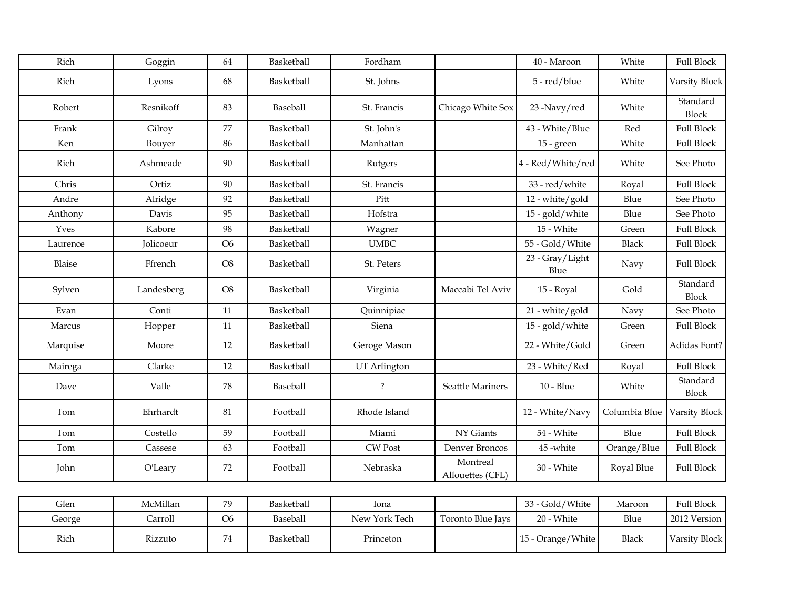| Rich     | Goggin           | 64             | Basketball | Fordham       |                              | 40 - Maroon             | White         | <b>Full Block</b>        |
|----------|------------------|----------------|------------|---------------|------------------------------|-------------------------|---------------|--------------------------|
| Rich     | Lyons            | 68             | Basketball | St. Johns     |                              | 5 - red/blue            | White         | Varsity Block            |
| Robert   | Resnikoff        | 83             | Baseball   | St. Francis   | Chicago White Sox            | 23-Navy/red             | White         | Standard<br><b>Block</b> |
| Frank    | Gilroy           | 77             | Basketball | St. John's    |                              | 43 - White/Blue         | Red           | <b>Full Block</b>        |
| Ken      | Bouyer           | 86             | Basketball | Manhattan     |                              | $15$ - green            | White         | <b>Full Block</b>        |
| Rich     | Ashmeade         | $90\,$         | Basketball | Rutgers       |                              | 4 - Red/White/red       | White         | See Photo                |
| Chris    | Ortiz            | $90\,$         | Basketball | St. Francis   |                              | 33 - red/white          | Royal         | <b>Full Block</b>        |
| Andre    | Alridge          | 92             | Basketball | Pitt          |                              | 12 - white/gold         | Blue          | See Photo                |
| Anthony  | Davis            | 95             | Basketball | Hofstra       |                              | 15 - gold/white         | Blue          | See Photo                |
| Yves     | Kabore           | 98             | Basketball | Wagner        |                              | 15 - White              | Green         | <b>Full Block</b>        |
| Laurence | <b>Jolicoeur</b> | O <sub>6</sub> | Basketball | <b>UMBC</b>   |                              | 55 - Gold/White         | <b>Black</b>  | <b>Full Block</b>        |
| Blaise   | Ffrench          | $\rm{O}8$      | Basketball | St. Peters    |                              | 23 - Gray/Light<br>Blue | Navy          | <b>Full Block</b>        |
| Sylven   | Landesberg       | $\rm{O}8$      | Basketball | Virginia      | Maccabi Tel Aviv             | 15 - Royal              | Gold          | Standard<br><b>Block</b> |
| Evan     | Conti            | $11\,$         | Basketball | Quinnipiac    |                              | 21 - white/gold         | Navy          | See Photo                |
| Marcus   | Hopper           | 11             | Basketball | Siena         |                              | 15 - gold/white         | Green         | <b>Full Block</b>        |
| Marquise | Moore            | 12             | Basketball | Geroge Mason  |                              | 22 - White/Gold         | Green         | Adidas Font?             |
| Mairega  | Clarke           | 12             | Basketball | UT Arlington  |                              | 23 - White/Red          | Royal         | <b>Full Block</b>        |
| Dave     | Valle            | 78             | Baseball   | $\ddot{?}$    | Seattle Mariners             | $10 - Blue$             | White         | Standard<br>Block        |
| Tom      | Ehrhardt         | 81             | Football   | Rhode Island  |                              | 12 - White/Navy         | Columbia Blue | Varsity Block            |
| Tom      | Costello         | 59             | Football   | Miami         | NY Giants                    | 54 - White              | Blue          | <b>Full Block</b>        |
| Tom      | Cassese          | 63             | Football   | CW Post       | Denver Broncos               | 45-white                | Orange/Blue   | <b>Full Block</b>        |
| John     | O'Leary          | 72             | Football   | Nebraska      | Montreal<br>Allouettes (CFL) | 30 - White              | Royal Blue    | <b>Full Block</b>        |
|          |                  |                |            |               |                              |                         |               |                          |
| Glen     | McMillan         | 79             | Basketball | Iona          |                              | 33 - Gold/White         | Maroon        | <b>Full Block</b>        |
| George   | Carroll          | O <sub>6</sub> | Baseball   | New York Tech | Toronto Blue Jays            | 20 - White              | Blue          | 2012 Version             |
| Rich     | Rizzuto          | 74             | Basketball | Princeton     |                              | 15 - Orange/White       | <b>Black</b>  | Varsity Block            |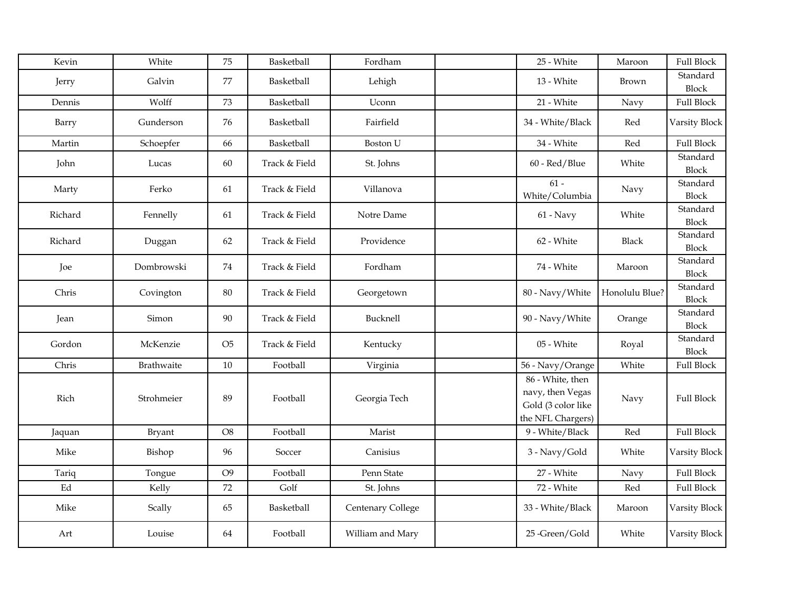| Kevin               | White      | 75             | Basketball    | Fordham           | 25 - White                                                                      | Maroon         | <b>Full Block</b>        |
|---------------------|------------|----------------|---------------|-------------------|---------------------------------------------------------------------------------|----------------|--------------------------|
| Jerry               | Galvin     | 77             | Basketball    | Lehigh            | 13 - White                                                                      | Brown          | Standard<br>Block        |
| Dennis              | Wolff      | 73             | Basketball    | Uconn             | 21 - White                                                                      | Navy           | <b>Full Block</b>        |
| Barry               | Gunderson  | 76             | Basketball    | Fairfield         | 34 - White/Black                                                                | Red            | Varsity Block            |
| Martin              | Schoepfer  | 66             | Basketball    | <b>Boston U</b>   | 34 - White                                                                      | Red            | <b>Full Block</b>        |
| John                | Lucas      | $60\,$         | Track & Field | St. Johns         | 60 - Red/Blue                                                                   | White          | Standard<br>Block        |
| Marty               | Ferko      | 61             | Track & Field | Villanova         | $61 -$<br>White/Columbia                                                        | Navy           | Standard<br><b>Block</b> |
| Richard             | Fennelly   | 61             | Track & Field | Notre Dame        | $61$ - Navy                                                                     | White          | Standard<br><b>Block</b> |
| Richard             | Duggan     | 62             | Track & Field | Providence        | 62 - White                                                                      | <b>Black</b>   | Standard<br><b>Block</b> |
| Joe                 | Dombrowski | 74             | Track & Field | Fordham           | 74 - White                                                                      | Maroon         | Standard<br><b>Block</b> |
| Chris               | Covington  | $80\,$         | Track & Field | Georgetown        | 80 - Navy/White                                                                 | Honolulu Blue? | Standard<br><b>Block</b> |
| Jean                | Simon      | $90\,$         | Track & Field | Bucknell          | 90 - Navy/White                                                                 | Orange         | Standard<br><b>Block</b> |
| Gordon              | McKenzie   | O <sub>5</sub> | Track & Field | Kentucky          | 05 - White                                                                      | Royal          | Standard<br><b>Block</b> |
| Chris               | Brathwaite | 10             | Football      | Virginia          | 56 - Navy/Orange                                                                | White          | <b>Full Block</b>        |
| Rich                | Strohmeier | 89             | Football      | Georgia Tech      | 86 - White, then<br>navy, then Vegas<br>Gold (3 color like<br>the NFL Chargers) | Navy           | <b>Full Block</b>        |
| Jaquan              | Bryant     | O <sub>8</sub> | Football      | Marist            | 9 - White/Black                                                                 | Red            | <b>Full Block</b>        |
| Mike                | Bishop     | 96             | Soccer        | Canisius          | 3 - Navy/Gold                                                                   | White          | Varsity Block            |
| Tariq               | Tongue     | O <sub>9</sub> | Football      | Penn State        | 27 - White                                                                      | Navy           | <b>Full Block</b>        |
| $\operatorname{Ed}$ | Kelly      | 72             | Golf          | St. Johns         | 72 - White                                                                      | Red            | <b>Full Block</b>        |
| Mike                | Scally     | 65             | Basketball    | Centenary College | 33 - White/Black                                                                | Maroon         | Varsity Block            |
| Art                 | Louise     | 64             | Football      | William and Mary  | 25-Green/Gold                                                                   | White          | Varsity Block            |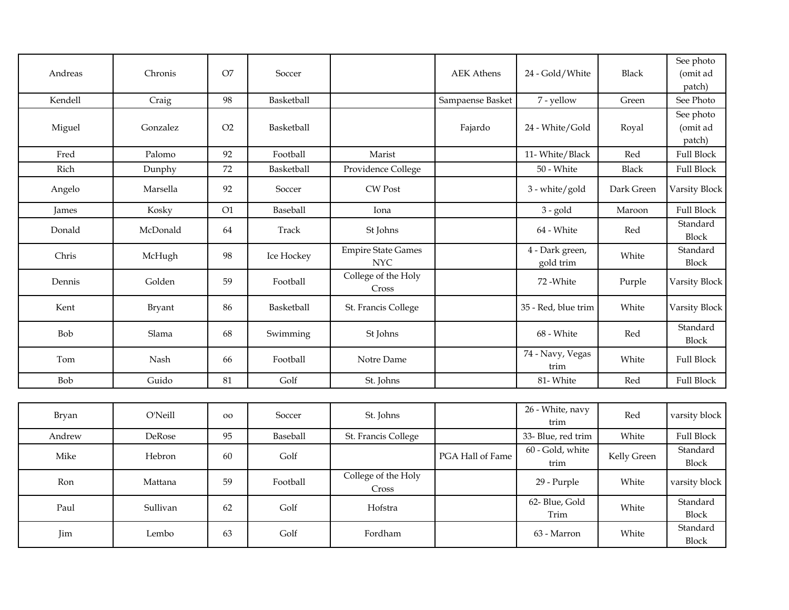| Andreas |          | O <sub>7</sub> |            |                                         |                   |                              | <b>Black</b> | See photo                       |
|---------|----------|----------------|------------|-----------------------------------------|-------------------|------------------------------|--------------|---------------------------------|
|         | Chronis  |                | Soccer     |                                         | <b>AEK Athens</b> | 24 - Gold/White              |              | (omit ad<br>patch)              |
| Kendell | Craig    | 98             | Basketball |                                         | Sampaense Basket  | 7 - yellow                   | Green        | See Photo                       |
| Miguel  | Gonzalez | O2             | Basketball |                                         | Fajardo           | 24 - White/Gold              | Royal        | See photo<br>(omit ad<br>patch) |
| Fred    | Palomo   | 92             | Football   | Marist                                  |                   | 11- White/Black              | Red          | <b>Full Block</b>               |
| Rich    | Dunphy   | 72             | Basketball | Providence College                      |                   | 50 - White                   | <b>Black</b> | <b>Full Block</b>               |
| Angelo  | Marsella | 92             | Soccer     | CW Post                                 |                   | 3 - white/gold               | Dark Green   | Varsity Block                   |
| James   | Kosky    | O1             | Baseball   | Iona                                    |                   | $3 - gold$                   | Maroon       | <b>Full Block</b>               |
| Donald  | McDonald | 64             | Track      | St Johns                                |                   | 64 - White                   | Red          | Standard<br><b>Block</b>        |
| Chris   | McHugh   | 98             | Ice Hockey | <b>Empire State Games</b><br><b>NYC</b> |                   | 4 - Dark green,<br>gold trim | White        | Standard<br><b>Block</b>        |
| Dennis  | Golden   | 59             | Football   | College of the Holy<br>Cross            |                   | 72 - White                   | Purple       | Varsity Block                   |
| Kent    | Bryant   | 86             | Basketball | St. Francis College                     |                   | 35 - Red, blue trim          | White        | Varsity Block                   |
| Bob     | Slama    | 68             | Swimming   | St Johns                                |                   | 68 - White                   | Red          | Standard<br><b>Block</b>        |
| Tom     | Nash     | 66             | Football   | Notre Dame                              |                   | 74 - Navy, Vegas<br>trim     | White        | <b>Full Block</b>               |
| Bob     | Guido    | 81             | Golf       | St. Johns                               |                   | 81-White                     | Red          | <b>Full Block</b>               |
|         |          |                |            |                                         |                   |                              |              |                                 |
| Bryan   | O'Neill  | <b>OO</b>      | Soccer     | St. Johns                               |                   | 26 - White, navy<br>trim     | Red          | varsity block                   |
| Andrew  | DeRose   | 95             | Baseball   | St. Francis College                     |                   | 33- Blue, red trim           | White        | <b>Full Block</b>               |
| Mike    | Hebron   | 60             | Golf       |                                         | PGA Hall of Fame  | 60 - Gold, white<br>trim     | Kelly Green  | Standard<br>Block               |
| Ron     | Mattana  | 59             | Football   | College of the Holy<br>Cross            |                   | 29 - Purple                  | White        | varsity block                   |
| Paul    | Sullivan | 62             | Golf       | Hofstra                                 |                   | 62- Blue, Gold<br>Trim       | White        | Standard<br><b>Block</b>        |
| Jim     | Lembo    | 63             | Golf       | Fordham                                 |                   | 63 - Marron                  | White        | Standard<br><b>Block</b>        |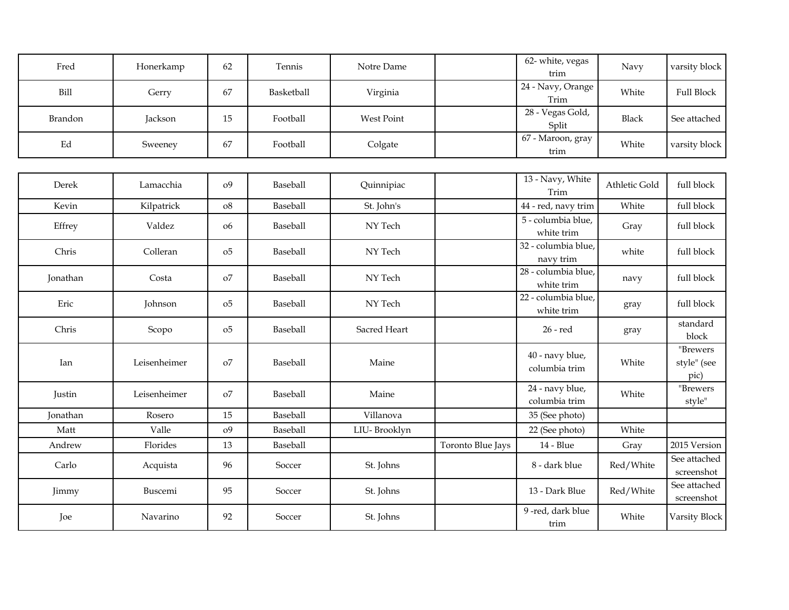| Fred                | Honerkamp    | 62             | Tennis     | Notre Dame        |                   | 62- white, vegas<br>trim          | Navy          | varsity block                   |
|---------------------|--------------|----------------|------------|-------------------|-------------------|-----------------------------------|---------------|---------------------------------|
| <b>Bill</b>         | Gerry        | 67             | Basketball | Virginia          |                   | 24 - Navy, Orange<br>Trim         | White         | <b>Full Block</b>               |
| Brandon             | Jackson      | 15             | Football   | <b>West Point</b> |                   | 28 - Vegas Gold,<br>Split         | <b>Black</b>  | See attached                    |
| $\operatorname{Ed}$ | Sweeney      | 67             | Football   | Colgate           |                   | 67 - Maroon, gray<br>trim         | White         | varsity block                   |
|                     |              |                |            |                   |                   |                                   |               |                                 |
| Derek               | Lamacchia    | o <sub>9</sub> | Baseball   | Quinnipiac        |                   | 13 - Navy, White<br>Trim          | Athletic Gold | full block                      |
| Kevin               | Kilpatrick   | ${\rm o}8$     | Baseball   | St. John's        |                   | 44 - red, navy trim               | White         | full block                      |
| Effrey              | Valdez       | 06             | Baseball   | NY Tech           |                   | 5 - columbia blue,<br>white trim  | Gray          | full block                      |
| Chris               | Colleran     | o <sub>5</sub> | Baseball   | NY Tech           |                   | 32 - columbia blue,<br>navy trim  | white         | full block                      |
| Jonathan            | Costa        | O <sub>0</sub> | Baseball   | NY Tech           |                   | 28 - columbia blue,<br>white trim | navy          | full block                      |
| Eric                | Johnson      | o <sub>5</sub> | Baseball   | NY Tech           |                   | 22 - columbia blue,<br>white trim | gray          | full block                      |
| Chris               | Scopo        | 05             | Baseball   | Sacred Heart      |                   | 26 - red                          | gray          | standard<br>block               |
| Ian                 | Leisenheimer | O <sub>0</sub> | Baseball   | Maine             |                   | 40 - navy blue,<br>columbia trim  | White         | "Brewers<br>style" (see<br>pic) |
| Justin              | Leisenheimer | O <sub>0</sub> | Baseball   | Maine             |                   | 24 - navy blue,<br>columbia trim  | White         | "Brewers<br>style"              |
| Jonathan            | Rosero       | 15             | Baseball   | Villanova         |                   | 35 (See photo)                    |               |                                 |
| Matt                | Valle        | o <sub>9</sub> | Baseball   | LIU-Brooklyn      |                   | 22 (See photo)                    | White         |                                 |
| Andrew              | Florides     | 13             | Baseball   |                   | Toronto Blue Jays | 14 - Blue                         | Gray          | 2015 Version                    |
| Carlo               | Acquista     | 96             | Soccer     | St. Johns         |                   | 8 - dark blue                     | Red/White     | See attached<br>screenshot      |
| Jimmy               | Buscemi      | 95             | Soccer     | St. Johns         |                   | 13 - Dark Blue                    | Red/White     | See attached<br>screenshot      |
| Joe                 | Navarino     | 92             | Soccer     | St. Johns         |                   | 9-red, dark blue<br>trim          | White         | Varsity Block                   |